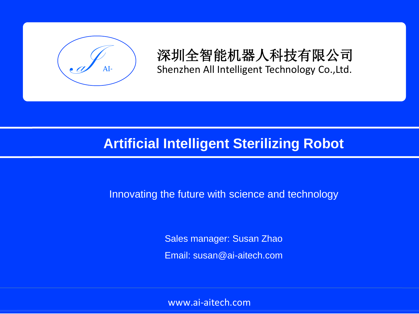

深圳全智能机器人科技有限公司 Shenzhen All Intelligent Technology Co.,Ltd.

## **Artificial Intelligent Sterilizing Robot**

Innovating the future with science and technology

Sales manager: Susan Zhao Email: susan@ai-aitech.com

www.ai-aitech.com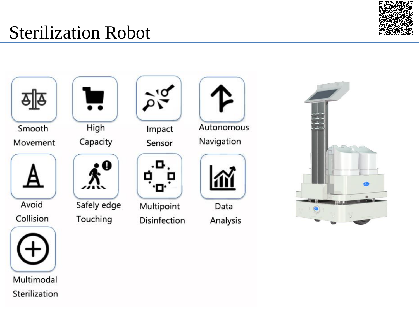



Smooth Movement



Avoid





Multimodal

Sterilization



High

Capacity



Safely edge Touching



Impact Sensor



Multipoint Disinfection



Data Analysis

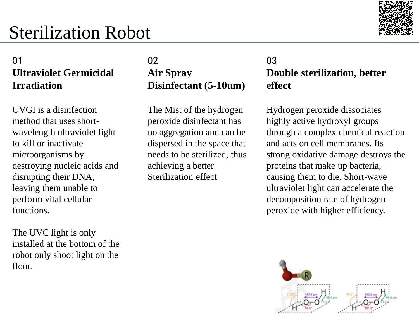

#### Ia AI-01 **Ultraviolet Germicidal Irradiation**

UVGI is a disinfection method that uses shortwavelength ultraviolet light to kill or inactivate microorganisms by destroying nucleic acids and disrupting their DNA, leaving them unable to perform vital cellular functions.

The UVC light is only installed at the bottom of the robot only shoot light on the floor.

 $\frac{1}{2}$ 02 **Air Spray Disinfectant (5-10um)**

The Mist of the hydrogen peroxide disinfectant has no aggregation and can be dispersed in the space that needs to be sterilized, thus achieving a better Sterilization effect

#### **Shend All Intelligent Co., Letter Intelligent Technology Co., Letter All Intelligent Co., Letter in Spray** 03 **effect**

Hydrogen peroxide dissociates highly active hydroxyl groups through a complex chemical reaction and acts on cell membranes. Its strong oxidative damage destroys the proteins that make up bacteria, causing them to die. Short-wave ultraviolet light can accelerate the decomposition rate of hydrogen peroxide with higher efficiency.

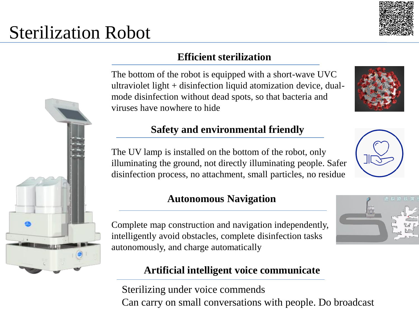

## **Efficient sterilization**

The bottom of the robot is equipped with a short-wave UVC ultraviolet light + disinfection liquid atomization device, dualmode disinfection without dead spots, so that bacteria and viruses have nowhere to hide

### **Safety and environmental friendly**

The UV lamp is installed on the bottom of the robot, only illuminating the ground, not directly illuminating people. Safer disinfection process, no attachment, small particles, no residue

#### **Autonomous Navigation**

Complete map construction and navigation independently, intelligently avoid obstacles, complete disinfection tasks autonomously, and charge automatically

#### **Artificial intelligent voice communicate**

Sterilizing under voice commends Can carry on small conversations with people. Do broadcast





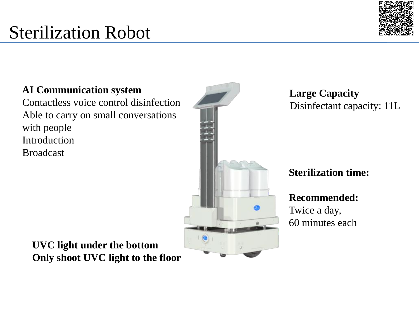# Ia AI-Sterilization Robot



**AI Communication system** Contactless voice control disinfection Able to carry on small conversations with people Introduction Broadcast



**Large Capacity** Disinfectant capacity: 11L

**Sterilization time:**

**Recommended:** Twice a day, 60 minutes each

**UVC light under the bottom Only shoot UVC light to the floor**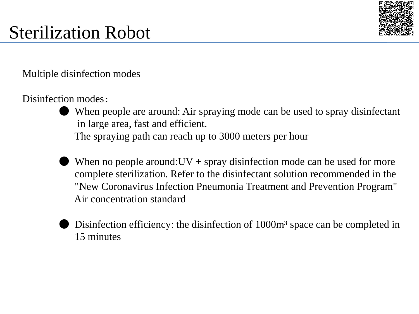

**Multiple disinfection modes** 

#### Disinfection modes:

- When people are around: Air spraying mode can be used to spray disinfectant in large area, fast and efficient. The spraying path can reach up to 3000 meters per hour
- When no people around:  $UV$  + spray disinfection mode can be used for more complete sterilization. Refer to the disinfectant solution recommended in the "New Coronavirus Infection Pneumonia Treatment and Prevention Program" Air concentration standard
- Disinfection efficiency: the disinfection of 1000m <sup>3</sup> space can be completed in 15 minutes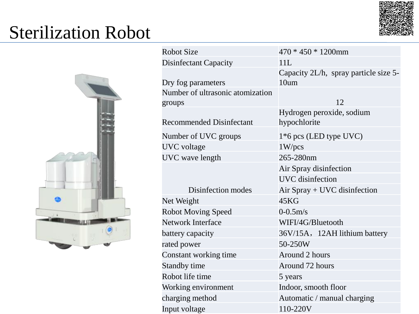



| <b>Robot Size</b>                | $470 * 450 * 1200$ mm                 |  |  |  |
|----------------------------------|---------------------------------------|--|--|--|
| <b>Disinfectant Capacity</b>     | 11L                                   |  |  |  |
|                                  | Capacity 2L/h, spray particle size 5- |  |  |  |
| Dry fog parameters               | 10 <sub>um</sub>                      |  |  |  |
| Number of ultrasonic atomization |                                       |  |  |  |
| groups                           | 12                                    |  |  |  |
|                                  | Hydrogen peroxide, sodium             |  |  |  |
| <b>Recommended Disinfectant</b>  | hypochlorite                          |  |  |  |
| Number of UVC groups             | $1*6$ pcs (LED type UVC)              |  |  |  |
| <b>UVC</b> voltage               | 1 W/pcs                               |  |  |  |
| UVC wave length                  | 265-280nm                             |  |  |  |
|                                  | Air Spray disinfection                |  |  |  |
|                                  | <b>UVC</b> disinfection               |  |  |  |
| Disinfection modes               | Air Spray + UVC disinfection          |  |  |  |
| Net Weight                       | 45KG                                  |  |  |  |
| <b>Robot Moving Speed</b>        | $0 - 0.5$ m/s                         |  |  |  |
| <b>Network Interface</b>         | WIFI/4G/Bluetooth                     |  |  |  |
| battery capacity                 | 36V/15A, 12AH lithium battery         |  |  |  |
| rated power                      | 50-250W                               |  |  |  |
| Constant working time            | Around 2 hours                        |  |  |  |
| Standby time                     | Around 72 hours                       |  |  |  |
| Robot life time                  | 5 years                               |  |  |  |
| Working environment              | Indoor, smooth floor                  |  |  |  |
| charging method                  | Automatic / manual charging           |  |  |  |
| Input voltage                    | 110-220V                              |  |  |  |